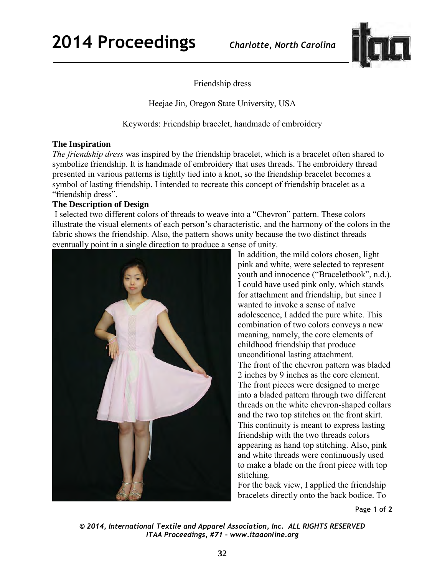

Friendship dress

Heejae Jin, Oregon State University, USA

Keywords: Friendship bracelet, handmade of embroidery

## **The Inspiration**

*The friendship dress* was inspired by the friendship bracelet, which is a bracelet often shared to symbolize friendship. It is handmade of embroidery that uses threads. The embroidery thread presented in various patterns is tightly tied into a knot, so the friendship bracelet becomes a symbol of lasting friendship. I intended to recreate this concept of friendship bracelet as a "friendship dress".

## **The Description of Design**

 I selected two different colors of threads to weave into a "Chevron" pattern. These colors illustrate the visual elements of each person's characteristic, and the harmony of the colors in the fabric shows the friendship. Also, the pattern shows unity because the two distinct threads eventually point in a single direction to produce a sense of unity.



In addition, the mild colors chosen, light pink and white, were selected to represent youth and innocence ("Braceletbook", n.d.). I could have used pink only, which stands for attachment and friendship, but since I wanted to invoke a sense of naïve adolescence, I added the pure white. This combination of two colors conveys a new meaning, namely, the core elements of childhood friendship that produce unconditional lasting attachment. The front of the chevron pattern was bladed 2 inches by 9 inches as the core element. The front pieces were designed to merge into a bladed pattern through two different threads on the white chevron-shaped collars and the two top stitches on the front skirt. This continuity is meant to express lasting friendship with the two threads colors appearing as hand top stitching. Also, pink and white threads were continuously used to make a blade on the front piece with top stitching.

For the back view, I applied the friendship bracelets directly onto the back bodice. To

Page **1** of **2** 

*© 2014, International Textile and Apparel Association, Inc. ALL RIGHTS RESERVED ITAA Proceedings, #71 – www.itaaonline.org*